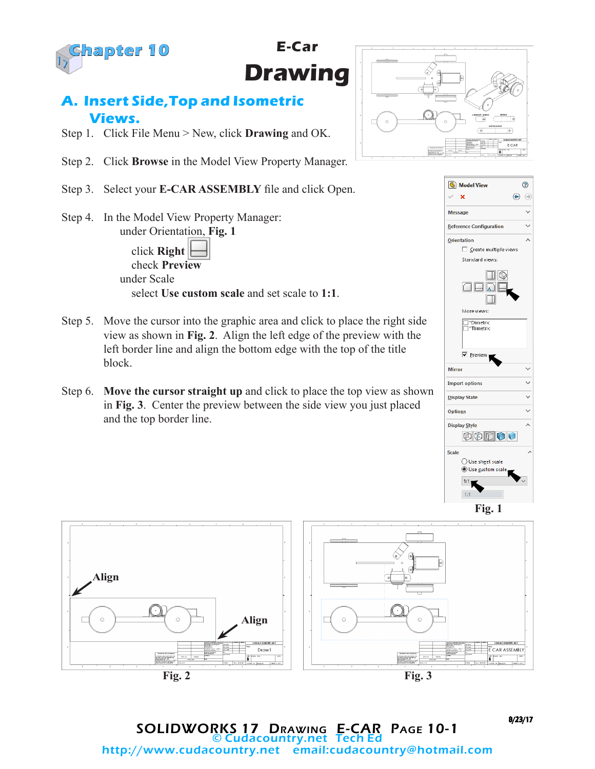

**E-Car Drawing**

### **A. Insert Side,Top and Isometric Views.**

- Step 1. Click File Menu > New, click **Drawing** and OK.
- Step 2. Click **Browse** in the Model View Property Manager.
- Step 3. Select your **E-CAR ASSEMBLY** file and click Open.
- Step 4. In the Model View Property Manager: under Orientation, **Fig. 1** click **Right** check **Preview** under Scale select **Use custom scale** and set scale to **1:1**.
- Step 5. Move the cursor into the graphic area and click to place the right side view as shown in **Fig. 2**. Align the left edge of the preview with the left border line and align the bottom edge with the top of the title block.
- Step 6. **Move the cursor straight up** and click to place the top view as shown in **Fig. 3**. Center the preview between the side view you just placed and the top border line.









8/23/17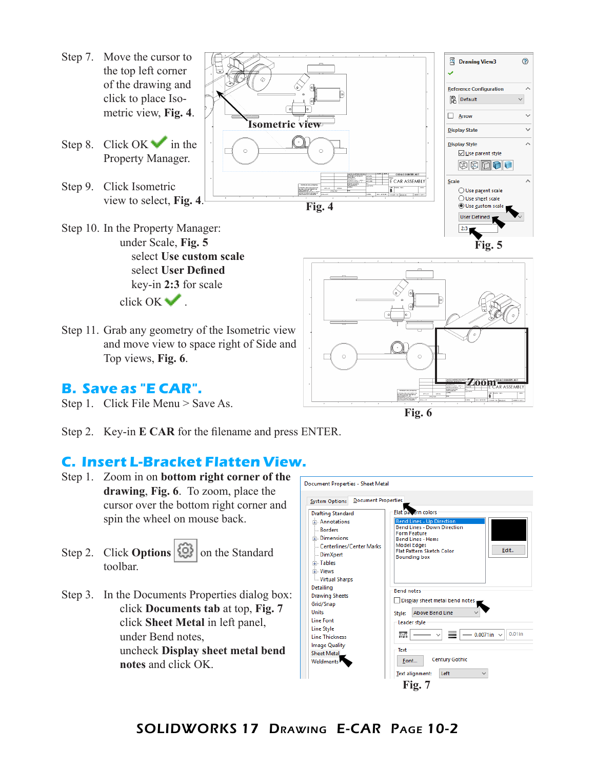- Step 7. Move the cursor to the top left corner of the drawing and click to place Isometric view, **Fig. 4**.
- Step 8. Click OK in the Property Manager.
- Step 9. Click Isometric view to select, **Fig. 4**.
- Step 10. In the Property Manager: under Scale, **Fig. 5** select **Use custom scale** select **User Defined** key-in **2:3** for scale click OK ...
- Step 11. Grab any geometry of the Isometric view and move view to space right of Side and Top views, **Fig. 6**.

### **B. Save as "E CAR".**

- Step 1. Click File Menu > Save As.
- Step 2. Key-in **E CAR** for the filename and press ENTER.

#### **C. Insert L-Bracket Flatten View.**

- Step 1. Zoom in on **bottom right corner of the drawing**, **Fig. 6**. To zoom, place the cursor over the bottom right corner and spin the wheel on mouse back.
- Step 2. Click **Options**  $\left|\left\{\odotright\}\right|$  on the Standard toolbar.
- Step 3. In the Documents Properties dialog box: click **Documents tab** at top, **Fig. 7** click **Sheet Metal** in left panel, under Bend notes, uncheck **Display sheet metal bend notes** and click OK.







⊙

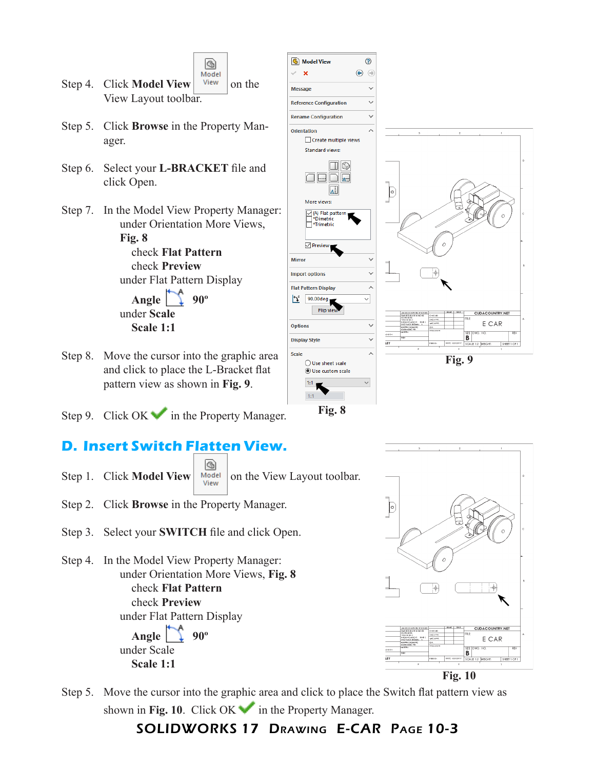

- Step 4. Click **Model View**  $\vert$  <sup>View</sup>  $\vert$  on the View Layout toolbar.
- Step 5. Click **Browse** in the Property Manager.
- Step 6. Select your **L-BRACKET** file and click Open.
- Step 7. In the Model View Property Manager: under Orientation More Views, **Fig. 8**

 check **Flat Pattern** check **Preview** under Flat Pattern Display **Angle** 1 90° under **Scale Scale 1:1**

- Step 8. Move the cursor into the graphic area and click to place the L-Bracket flat pattern view as shown in **Fig. 9**.
- Step 9. Click  $OK \rightarrow \infty$  in the Property Manager.

# **D. Insert Switch Flatten View.**

G) Step 1. Click **Model View**  $\begin{array}{c|c} \hline \text{Model} & \text{On the View Layout toolbar.} \end{array}$ 

- Step 2. Click **Browse** in the Property Manager.
- Step 3. Select your **SWITCH** file and click Open.
- Step 4. In the Model View Property Manager: under Orientation More Views, **Fig. 8** check **Flat Pattern** check **Preview** under Flat Pattern Display **Angle** 90° under Scale  **Scale 1:1**







**Fig. 10**

Step 5. Move the cursor into the graphic area and click to place the Switch flat pattern view as shown in Fig. 10. Click  $OK \rightarrow$  in the Property Manager.

#### SOLIDWORKS 17 Drawing E-CAR Page 10-3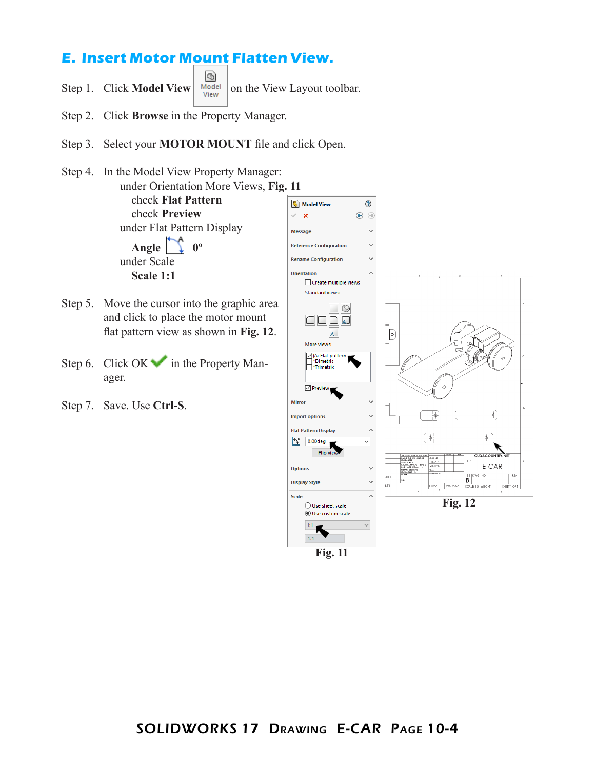# **E. Insert Motor Mount Flatten View.**

G Step 1. Click **Model View**  $\begin{array}{c|c} \text{Model} & \text{on the View Layout toolbar.} \end{array}$ 

- Step 2. Click **Browse** in the Property Manager.
- Step 3. Select your **MOTOR MOUNT** file and click Open.
- Step 4. In the Model View Property Manager: under Orientation More Views, **Fig. 11** check **Flat Pattern** check **Preview** under Flat Pattern Display

Angle  $\sum 0^{\circ}$ under Scale  **Scale 1:1**

- Step 5. Move the cursor into the graphic area and click to place the motor mount flat pattern view as shown in **Fig. 12**.
- Step 6. Click OK in the Property Manager.
- Step 7. Save. Use **Ctrl-S**.



**Fig. 11**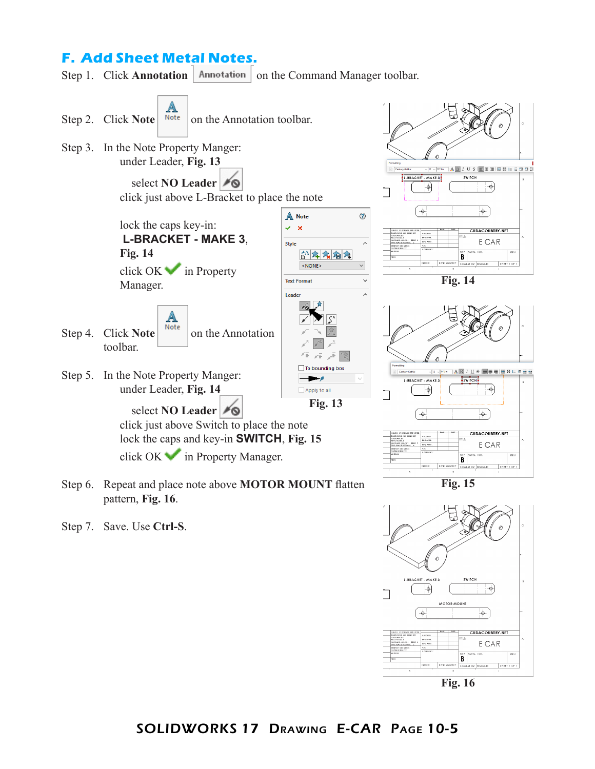### **F. Add Sheet Metal Notes.**

Step 1. Click **Annotation** | Annotation | on the Command Manager toolbar.



Step 7. Save. Use **Ctrl-S**.

pattern, **Fig. 16**.



**Fig. 16**